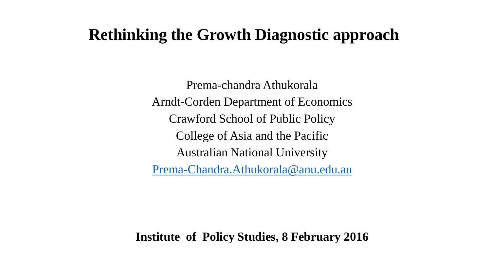### **Rethinking the Growth Diagnostic approach**

Prema-chandra Athukorala Arndt-Corden Department of Economics Crawford School of Public Policy College of Asia and the Pacific Australian National University [Prema-Chandra.Athukorala@anu.edu.au](mailto:Prema-Chandra.Athukorala@anu.edu.au)

**Institute of Policy Studies, 8 February 2016**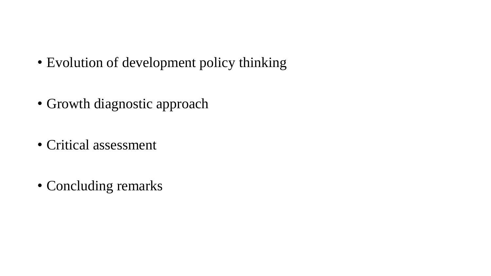- Evolution of development policy thinking
- Growth diagnostic approach
- Critical assessment
- Concluding remarks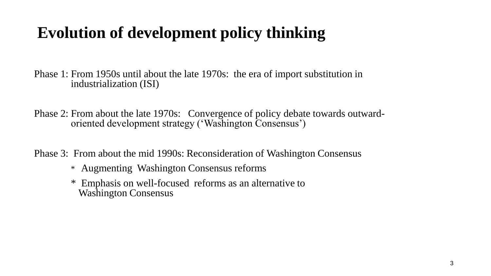## **Evolution of development policy thinking**

Phase 1: From 1950s until about the late 1970s: the era of import substitution in industrialization (ISI)

Phase 2: From about the late 1970s: Convergence of policy debate towards outwardoriented development strategy ('Washington Consensus')

Phase 3: From about the mid 1990s: Reconsideration of Washington Consensus

- \* Augmenting Washington Consensus reforms
- \* Emphasis on well-focused reforms as an alternative to Washington Consensus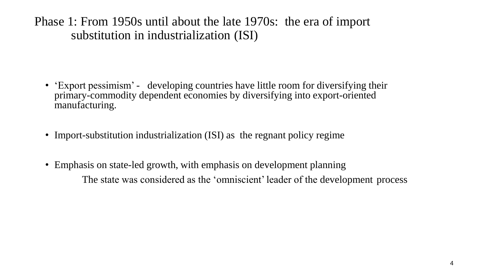Phase 1: From 1950s until about the late 1970s: the era of import substitution in industrialization (ISI)

- 'Export pessimism' developing countries have little room for diversifying their primary-commodity dependent economies by diversifying into export-oriented manufacturing.
- Import-substitution industrialization (ISI) as the regnant policy regime
- Emphasis on state-led growth, with emphasis on development planning The state was considered as the 'omniscient' leader of the development process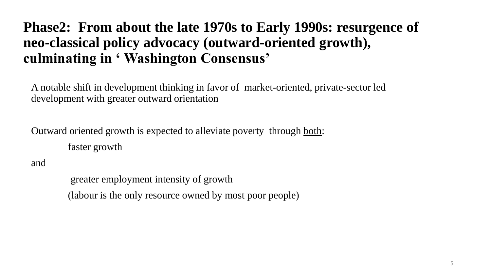### **Phase2: From about the late 1970s to Early 1990s: resurgence of neo-classical policy advocacy (outward-oriented growth), culminating in ' Washington Consensus'**

A notable shift in development thinking in favor of market-oriented, private-sector led development with greater outward orientation

Outward oriented growth is expected to alleviate poverty through both: faster growth

and

greater employment intensity of growth (labour is the only resource owned by most poor people)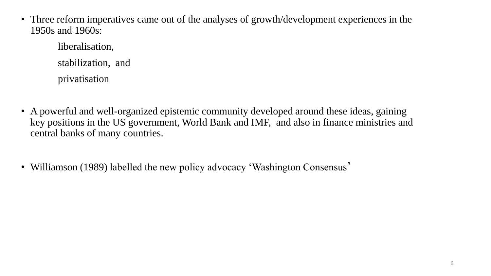• Three reform imperatives came out of the analyses of growth/development experiences in the 1950s and 1960s:

liberalisation, stabilization, and privatisation

- A powerful and well-organized epistemic community developed around these ideas, gaining key positions in the US government, World Bank and IMF, and also in finance ministries and central banks of many countries.
- Williamson (1989) labelled the new policy advocacy 'Washington Consensus'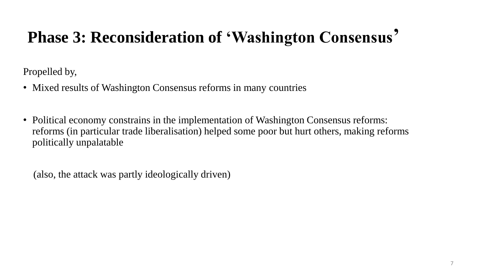# **Phase 3: Reconsideration of 'Washington Consensus'**

Propelled by,

- Mixed results of Washington Consensus reforms in many countries
- Political economy constrains in the implementation of Washington Consensus reforms: reforms (in particular trade liberalisation) helped some poor but hurt others, making reforms politically unpalatable

(also, the attack was partly ideologically driven)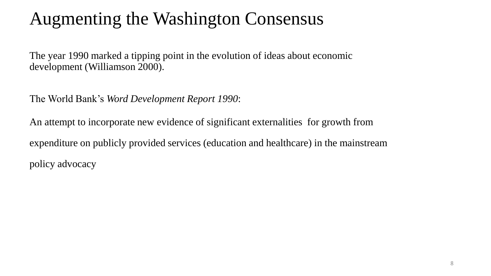# Augmenting the Washington Consensus

The year 1990 marked a tipping point in the evolution of ideas about economic development (Williamson 2000).

The World Bank's *Word Development Report 1990*:

An attempt to incorporate new evidence of significant externalities for growth from expenditure on publicly provided services (education and healthcare) in the mainstream policy advocacy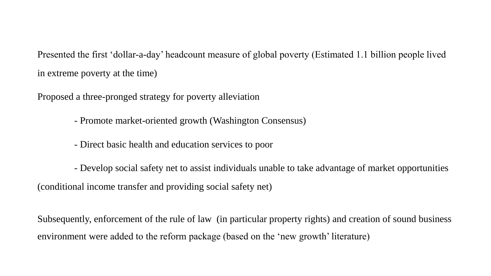Presented the first 'dollar-a-day' headcount measure of global poverty (Estimated 1.1 billion people lived in extreme poverty at the time)

Proposed a three-pronged strategy for poverty alleviation

- Promote market-oriented growth (Washington Consensus)

- Direct basic health and education services to poor

- Develop social safety net to assist individuals unable to take advantage of market opportunities (conditional income transfer and providing social safety net)

Subsequently, enforcement of the rule of law (in particular property rights) and creation of sound business environment were added to the reform package (based on the 'new growth' literature)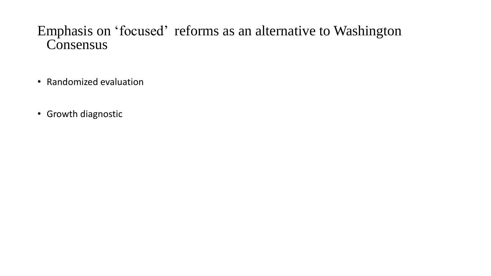### Emphasis on 'focused' reforms as an alternative to Washington Consensus

- Randomized evaluation
- Growth diagnostic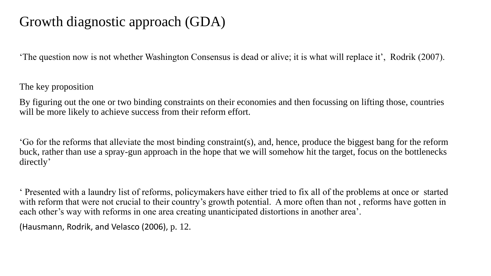### Growth diagnostic approach (GDA)

'The question now is not whether Washington Consensus is dead or alive; it is what will replace it', Rodrik (2007).

The key proposition

By figuring out the one or two binding constraints on their economies and then focussing on lifting those, countries will be more likely to achieve success from their reform effort.

'Go for the reforms that alleviate the most binding constraint(s), and, hence, produce the biggest bang for the reform buck, rather than use a spray-gun approach in the hope that we will somehow hit the target, focus on the bottlenecks directly'

' Presented with a laundry list of reforms, policymakers have either tried to fix all of the problems at once or started with reform that were not crucial to their country's growth potential. A more often than not, reforms have gotten in each other's way with reforms in one area creating unanticipated distortions in another area'.

(Hausmann, Rodrik, and Velasco (2006), p. 12.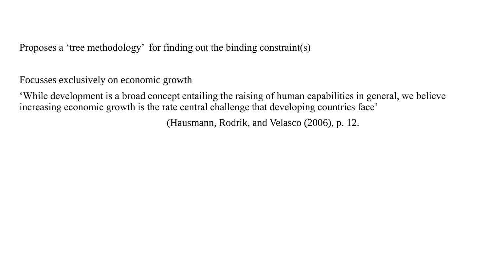Proposes a 'tree methodology' for finding out the binding constraint(s)

Focusses exclusively on economic growth

'While development is a broad concept entailing the raising of human capabilities in general, we believe increasing economic growth is the rate central challenge that developing countries face'

(Hausmann, Rodrik, and Velasco (2006), p. 12.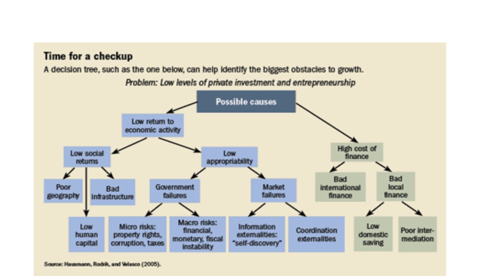

Source: Hausmann, Rodrik, and Velasco (2005).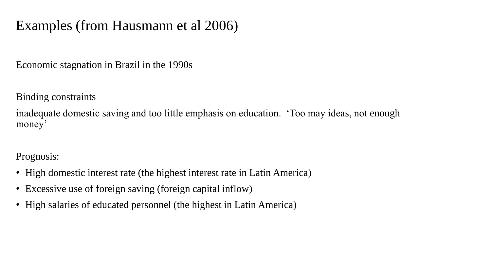### Examples (from Hausmann et al 2006)

Economic stagnation in Brazil in the 1990s

Binding constraints

inadequate domestic saving and too little emphasis on education. 'Too may ideas, not enough money'

Prognosis:

- High domestic interest rate (the highest interest rate in Latin America)
- Excessive use of foreign saving (foreign capital inflow)
- High salaries of educated personnel (the highest in Latin America)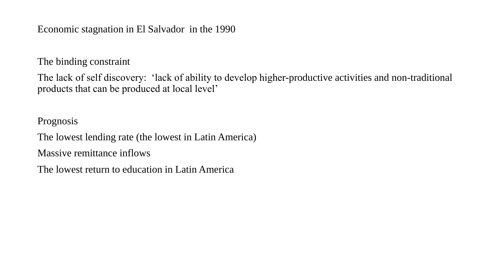Economic stagnation in El Salvador in the 1990

The binding constraint

The lack of self discovery: 'lack of ability to develop higher-productive activities and non-traditional products that can be produced at local level'

Prognosis

The lowest lending rate (the lowest in Latin America)

Massive remittance inflows

The lowest return to education in Latin America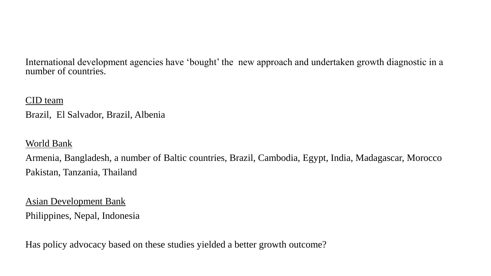International development agencies have 'bought' the new approach and undertaken growth diagnostic in a number of countries.

#### CID team

Brazil, El Salvador, Brazil, Albenia

#### World Bank

Armenia, Bangladesh, a number of Baltic countries, Brazil, Cambodia, Egypt, India, Madagascar, Morocco Pakistan, Tanzania, Thailand

#### Asian Development Bank

Philippines, Nepal, Indonesia

Has policy advocacy based on these studies yielded a better growth outcome?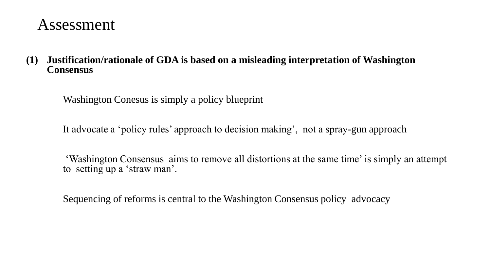### Assessment

**(1) Justification/rationale of GDA is based on a misleading interpretation of Washington Consensus**

Washington Conesus is simply a policy blueprint

It advocate a 'policy rules' approach to decision making', not a spray-gun approach

 'Washington Consensus aims to remove all distortions at the same time' is simply an attempt to setting up a 'straw man'.

Sequencing of reforms is central to the Washington Consensus policy advocacy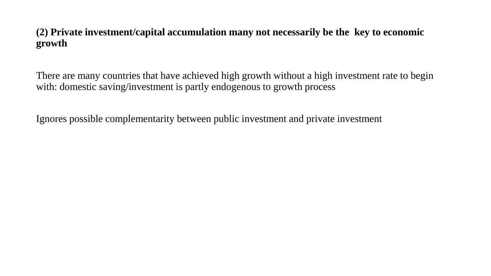#### **(2) Private investment/capital accumulation many not necessarily be the key to economic growth**

There are many countries that have achieved high growth without a high investment rate to begin with: domestic saving/investment is partly endogenous to growth process

Ignores possible complementarity between public investment and private investment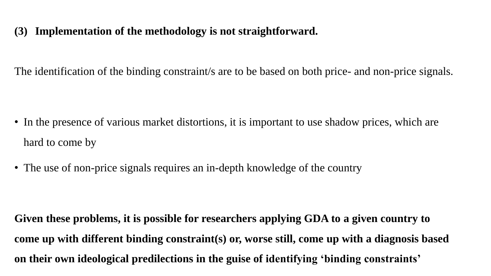#### **(3) Implementation of the methodology is not straightforward.**

The identification of the binding constraint/s are to be based on both price- and non-price signals.

- In the presence of various market distortions, it is important to use shadow prices, which are hard to come by
- The use of non-price signals requires an in-depth knowledge of the country

**Given these problems, it is possible for researchers applying GDA to a given country to come up with different binding constraint(s) or, worse still, come up with a diagnosis based on their own ideological predilections in the guise of identifying 'binding constraints'**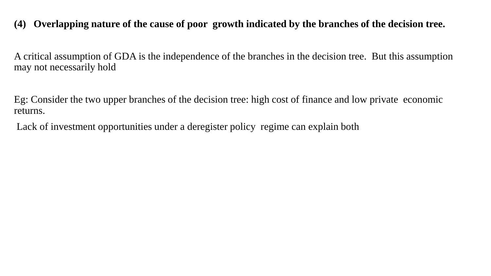#### **(4) Overlapping nature of the cause of poor growth indicated by the branches of the decision tree.**

A critical assumption of GDA is the independence of the branches in the decision tree. But this assumption may not necessarily hold

Eg: Consider the two upper branches of the decision tree: high cost of finance and low private economic returns.

Lack of investment opportunities under a deregister policy regime can explain both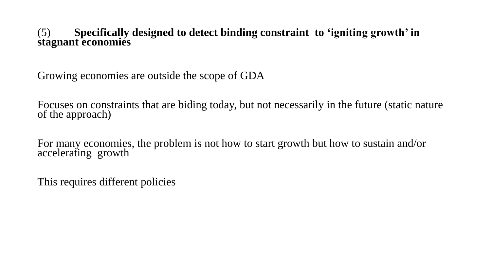#### (5) **Specifically designed to detect binding constraint to 'igniting growth' in stagnant economies**

Growing economies are outside the scope of GDA

Focuses on constraints that are biding today, but not necessarily in the future (static nature of the approach)

For many economies, the problem is not how to start growth but how to sustain and/or accelerating growth

This requires different policies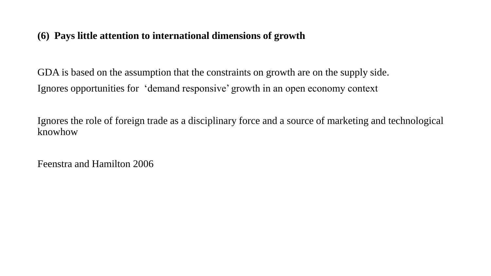#### **(6) Pays little attention to international dimensions of growth**

GDA is based on the assumption that the constraints on growth are on the supply side. Ignores opportunities for 'demand responsive' growth in an open economy context

Ignores the role of foreign trade as a disciplinary force and a source of marketing and technological knowhow

Feenstra and Hamilton 2006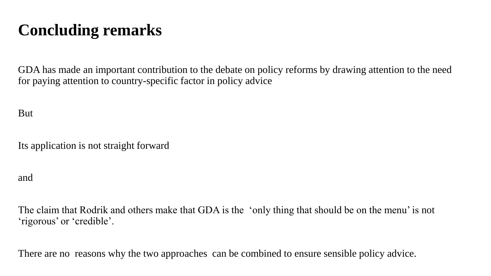# **Concluding remarks**

GDA has made an important contribution to the debate on policy reforms by drawing attention to the need for paying attention to country-specific factor in policy advice

But

Its application is not straight forward

and

The claim that Rodrik and others make that GDA is the 'only thing that should be on the menu' is not 'rigorous' or 'credible'.

There are no reasons why the two approaches can be combined to ensure sensible policy advice.